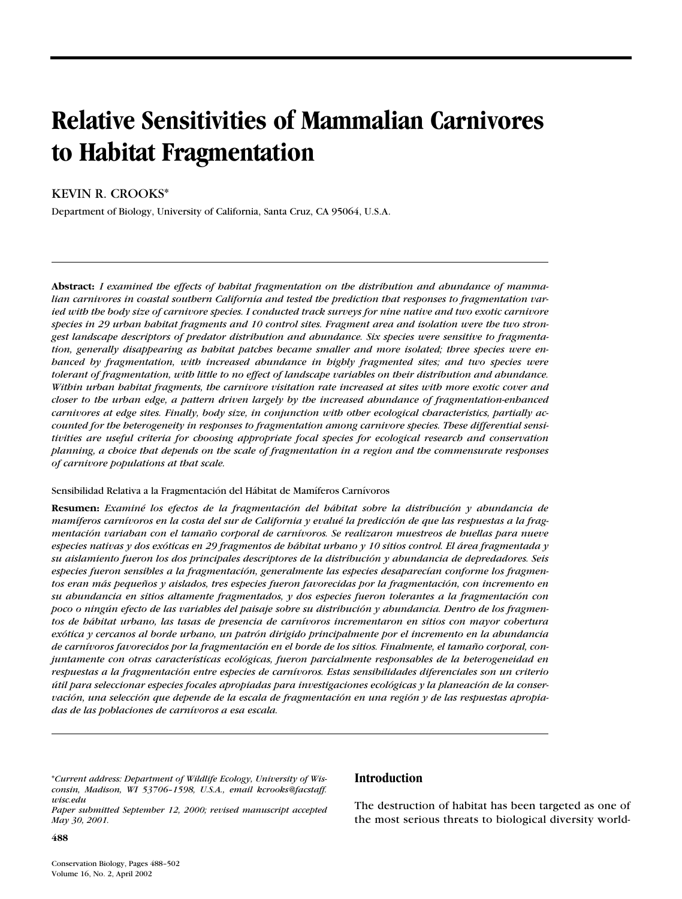# **Relative Sensitivities of Mammalian Carnivores to Habitat Fragmentation**

## KEVIN R. CROOKS\*

Department of Biology, University of California, Santa Cruz, CA 95064, U.S.A.

**Abstract:** *I examined the effects of habitat fragmentation on the distribution and abundance of mammalian carnivores in coastal southern California and tested the prediction that responses to fragmentation varied with the body size of carnivore species. I conducted track surveys for nine native and two exotic carnivore species in 29 urban habitat fragments and 10 control sites. Fragment area and isolation were the two strongest landscape descriptors of predator distribution and abundance. Six species were sensitive to fragmentation, generally disappearing as habitat patches became smaller and more isolated; three species were enhanced by fragmentation, with increased abundance in highly fragmented sites; and two species were tolerant of fragmentation, with little to no effect of landscape variables on their distribution and abundance. Within urban habitat fragments, the carnivore visitation rate increased at sites with more exotic cover and closer to the urban edge, a pattern driven largely by the increased abundance of fragmentation-enhanced carnivores at edge sites. Finally, body size, in conjunction with other ecological characteristics, partially accounted for the heterogeneity in responses to fragmentation among carnivore species. These differential sensitivities are useful criteria for choosing appropriate focal species for ecological research and conservation planning, a choice that depends on the scale of fragmentation in a region and the commensurate responses of carnivore populations at that scale.*

### Sensibilidad Relativa a la Fragmentación del Hábitat de Mamíferos Carnívoros

**Resumen:** *Examiné los efectos de la fragmentación del hábitat sobre la distribución y abundancia de mamíferos carnívoros en la costa del sur de California y evalué la predicción de que las respuestas a la fragmentación variaban con el tamaño corporal de carnívoros. Se realizaron muestreos de huellas para nueve especies nativas y dos exóticas en 29 fragmentos de hábitat urbano y 10 sitios control. El área fragmentada y su aislamiento fueron los dos principales descriptores de la distribución y abundancia de depredadores. Seis especies fueron sensibles a la fragmentación, generalmente las especies desaparecían conforme los fragmentos eran más pequeños y aislados, tres especies fueron favorecidas por la fragmentación, con incremento en su abundancia en sitios altamente fragmentados, y dos especies fueron tolerantes a la fragmentación con poco o ningún efecto de las variables del paisaje sobre su distribución y abundancia. Dentro de los fragmentos de hábitat urbano, las tasas de presencia de carnívoros incrementaron en sitios con mayor cobertura exótica y cercanos al borde urbano, un patrón dirigido principalmente por el incremento en la abundancia de carnívoros favorecidos por la fragmentación en el borde de los sitios. Finalmente, el tamaño corporal, conjuntamente con otras características ecológicas, fueron parcialmente responsables de la heterogeneidad en respuestas a la fragmentación entre especies de carnívoros. Estas sensibilidades diferenciales son un criterio útil para seleccionar especies focales apropiadas para investigaciones ecológicas y la planeación de la conservación, una selección que depende de la escala de fragmentación en una región y de las respuestas apropiadas de las poblaciones de carnívoros a esa escala.*

#### *Paper submitted September 12, 2000; revised manuscript accepted May 30, 2001.*

## **Introduction**

The destruction of habitat has been targeted as one of the most serious threats to biological diversity world-

**488**

<sup>\*</sup>*Current address: Department of Wildlife Ecology, University of Wisconsin, Madison, WI 53706–1598, U.S.A., email kcrooks@facstaff. wisc.edu*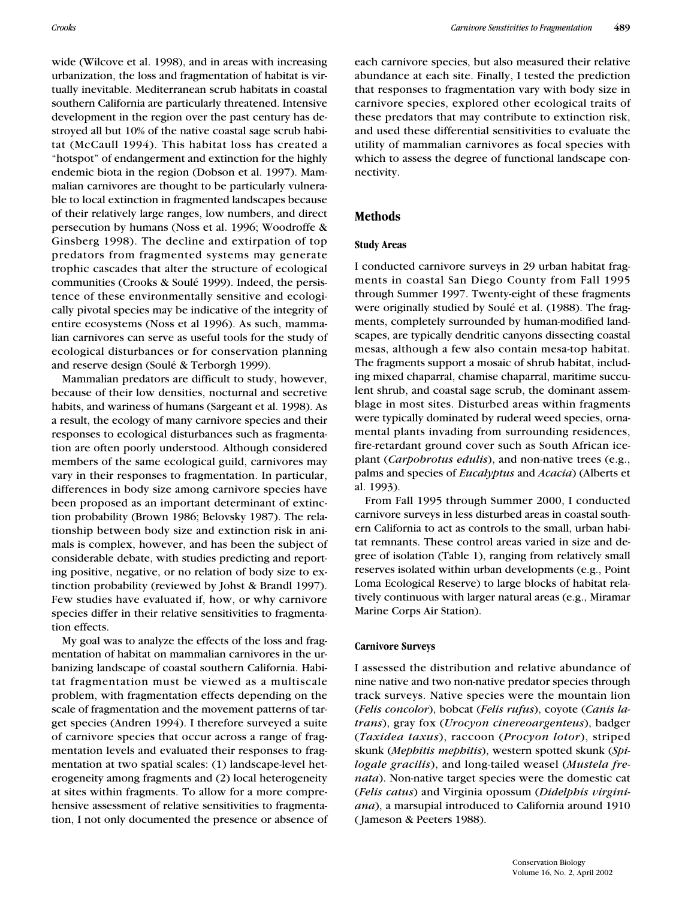wide (Wilcove et al. 1998), and in areas with increasing urbanization, the loss and fragmentation of habitat is virtually inevitable. Mediterranean scrub habitats in coastal southern California are particularly threatened. Intensive development in the region over the past century has destroyed all but 10% of the native coastal sage scrub habitat (McCaull 1994). This habitat loss has created a "hotspot" of endangerment and extinction for the highly endemic biota in the region (Dobson et al. 1997). Mammalian carnivores are thought to be particularly vulnerable to local extinction in fragmented landscapes because of their relatively large ranges, low numbers, and direct persecution by humans (Noss et al. 1996; Woodroffe & Ginsberg 1998). The decline and extirpation of top predators from fragmented systems may generate trophic cascades that alter the structure of ecological communities (Crooks & Soulé 1999). Indeed, the persistence of these environmentally sensitive and ecologically pivotal species may be indicative of the integrity of entire ecosystems (Noss et al 1996). As such, mammalian carnivores can serve as useful tools for the study of ecological disturbances or for conservation planning and reserve design (Soulé & Terborgh 1999).

Mammalian predators are difficult to study, however, because of their low densities, nocturnal and secretive habits, and wariness of humans (Sargeant et al. 1998). As a result, the ecology of many carnivore species and their responses to ecological disturbances such as fragmentation are often poorly understood. Although considered members of the same ecological guild, carnivores may vary in their responses to fragmentation. In particular, differences in body size among carnivore species have been proposed as an important determinant of extinction probability (Brown 1986; Belovsky 1987). The relationship between body size and extinction risk in animals is complex, however, and has been the subject of considerable debate, with studies predicting and reporting positive, negative, or no relation of body size to extinction probability (reviewed by Johst & Brandl 1997). Few studies have evaluated if, how, or why carnivore species differ in their relative sensitivities to fragmentation effects.

My goal was to analyze the effects of the loss and fragmentation of habitat on mammalian carnivores in the urbanizing landscape of coastal southern California. Habitat fragmentation must be viewed as a multiscale problem, with fragmentation effects depending on the scale of fragmentation and the movement patterns of target species (Andren 1994). I therefore surveyed a suite of carnivore species that occur across a range of fragmentation levels and evaluated their responses to fragmentation at two spatial scales: (1) landscape-level heterogeneity among fragments and (2) local heterogeneity at sites within fragments. To allow for a more comprehensive assessment of relative sensitivities to fragmentation, I not only documented the presence or absence of each carnivore species, but also measured their relative abundance at each site. Finally, I tested the prediction that responses to fragmentation vary with body size in carnivore species, explored other ecological traits of these predators that may contribute to extinction risk, and used these differential sensitivities to evaluate the utility of mammalian carnivores as focal species with which to assess the degree of functional landscape connectivity.

## **Methods**

### **Study Areas**

I conducted carnivore surveys in 29 urban habitat fragments in coastal San Diego County from Fall 1995 through Summer 1997. Twenty-eight of these fragments were originally studied by Soulé et al. (1988). The fragments, completely surrounded by human-modified landscapes, are typically dendritic canyons dissecting coastal mesas, although a few also contain mesa-top habitat. The fragments support a mosaic of shrub habitat, including mixed chaparral, chamise chaparral, maritime succulent shrub, and coastal sage scrub, the dominant assemblage in most sites. Disturbed areas within fragments were typically dominated by ruderal weed species, ornamental plants invading from surrounding residences, fire-retardant ground cover such as South African iceplant (*Carpobrotus edulis*), and non-native trees (e.g., palms and species of *Eucalyptus* and *Acacia*) (Alberts et al. 1993).

From Fall 1995 through Summer 2000, I conducted carnivore surveys in less disturbed areas in coastal southern California to act as controls to the small, urban habitat remnants. These control areas varied in size and degree of isolation (Table 1), ranging from relatively small reserves isolated within urban developments (e.g., Point Loma Ecological Reserve) to large blocks of habitat relatively continuous with larger natural areas (e.g., Miramar Marine Corps Air Station).

## **Carnivore Surveys**

I assessed the distribution and relative abundance of nine native and two non-native predator species through track surveys. Native species were the mountain lion (*Felis concolor*), bobcat (*Felis rufus*), coyote (*Canis latrans*), gray fox (*Urocyon cinereoargenteus*), badger (*Taxidea taxus*), raccoon (*Procyon lotor*), striped skunk (*Mephitis mephitis*), western spotted skunk (*Spilogale gracilis*), and long-tailed weasel (*Mustela frenata*). Non-native target species were the domestic cat (*Felis catus*) and Virginia opossum (*Didelphis virginiana*), a marsupial introduced to California around 1910 ( Jameson & Peeters 1988).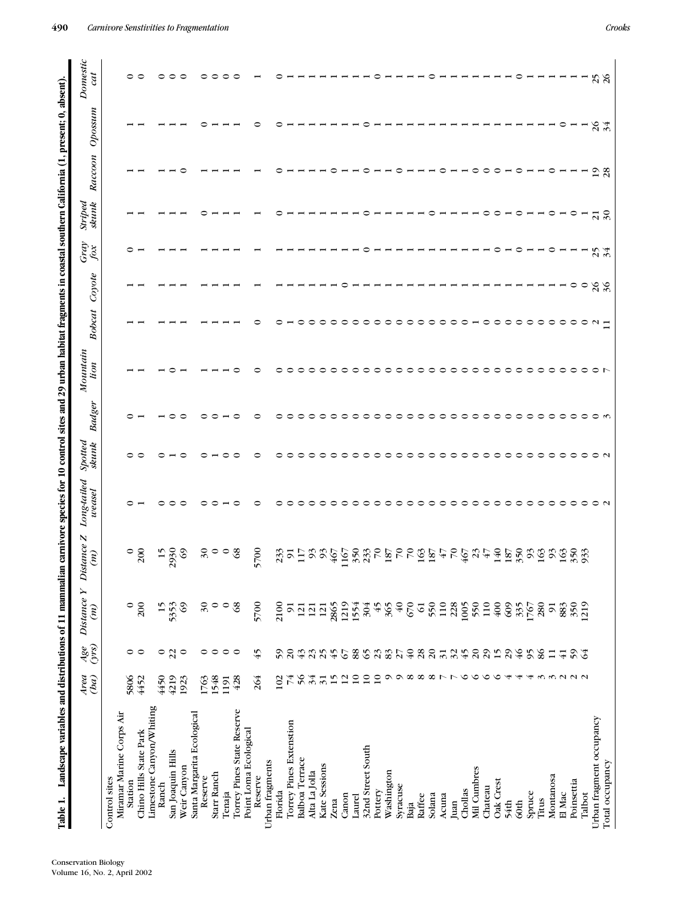|                                   | Area<br>(ba)                    | Age<br>(yrs)    | $Distance$ $Y$<br>$\left( m\right)$ | N<br>$\label{eq:distance} Distance$<br>$\left( m\right)$                                                                                                                                                                                                                                                                                                                                                                                                     | $\begin{array}{c} \textit{Long-tailed} \\ \textit{weasel} \end{array}$ | Spotted<br><b>Skunk</b> | <b>Badger</b> | Mountain<br>lion | Bobcat                                                             | Coyote       | $Gray$<br>fox    | Striped<br>skunk | Raccoon         | Opossum     | Domestic<br>$\overline{a}$ |
|-----------------------------------|---------------------------------|-----------------|-------------------------------------|--------------------------------------------------------------------------------------------------------------------------------------------------------------------------------------------------------------------------------------------------------------------------------------------------------------------------------------------------------------------------------------------------------------------------------------------------------------|------------------------------------------------------------------------|-------------------------|---------------|------------------|--------------------------------------------------------------------|--------------|------------------|------------------|-----------------|-------------|----------------------------|
| Control sites                     |                                 |                 |                                     |                                                                                                                                                                                                                                                                                                                                                                                                                                                              |                                                                        |                         |               |                  |                                                                    |              |                  |                  |                 |             |                            |
| Miramar Marine Corps Air          | 5806                            | $\circ$         |                                     | 0                                                                                                                                                                                                                                                                                                                                                                                                                                                            |                                                                        |                         |               |                  |                                                                    |              |                  |                  |                 |             |                            |
| Chino Hills State Park<br>Station | 4452                            | $\circ$         | 200<br>$\circ$                      | 200                                                                                                                                                                                                                                                                                                                                                                                                                                                          |                                                                        |                         |               |                  |                                                                    |              |                  |                  |                 |             |                            |
| Limestone Canyon/Whiting          |                                 |                 |                                     |                                                                                                                                                                                                                                                                                                                                                                                                                                                              |                                                                        |                         |               |                  |                                                                    |              |                  |                  |                 |             |                            |
| Ranch                             | 4450                            | $\circ$         |                                     | 15                                                                                                                                                                                                                                                                                                                                                                                                                                                           |                                                                        |                         |               |                  |                                                                    |              |                  |                  |                 |             |                            |
| San Joaquin Hills                 | 4219                            | $\overline{2}$  | $\frac{15}{5353}$                   | 2930                                                                                                                                                                                                                                                                                                                                                                                                                                                         | ⊂                                                                      |                         |               |                  |                                                                    |              |                  |                  |                 |             |                            |
| Weir Canyon                       | 1923                            | $\circ$         |                                     | $\mathcal{S}$                                                                                                                                                                                                                                                                                                                                                                                                                                                | c                                                                      |                         |               |                  |                                                                    |              |                  |                  |                 |             |                            |
| Santa Margarita Ecological        |                                 |                 |                                     |                                                                                                                                                                                                                                                                                                                                                                                                                                                              |                                                                        |                         |               |                  |                                                                    |              |                  |                  |                 |             |                            |
| Reserve                           | 1763                            | $\circ$         | $\delta$                            | $\mathfrak{H}$                                                                                                                                                                                                                                                                                                                                                                                                                                               |                                                                        |                         |               |                  |                                                                    |              |                  |                  |                 |             |                            |
| Starr Ranch                       | 1548                            | $\circ$         | $\circ$                             | $\circ$                                                                                                                                                                                                                                                                                                                                                                                                                                                      |                                                                        |                         |               |                  |                                                                    |              |                  |                  |                 |             |                            |
| Tenaja                            | 1191                            | $\circ$         | $\circ$                             | $\degree$                                                                                                                                                                                                                                                                                                                                                                                                                                                    |                                                                        |                         |               |                  |                                                                    |              |                  |                  |                 |             |                            |
| Torrey Pines State Reserve        | 428                             | $\circ$         | $\frac{8}{3}$                       |                                                                                                                                                                                                                                                                                                                                                                                                                                                              | ⊂                                                                      |                         |               |                  |                                                                    |              |                  |                  |                 |             |                            |
| Point Loma Ecological<br>Reserve  | 264                             | 45              | 5700                                | 5700                                                                                                                                                                                                                                                                                                                                                                                                                                                         | ⊂                                                                      |                         | ⊂             | c                |                                                                    |              |                  |                  |                 |             |                            |
| Urban fragments                   |                                 |                 |                                     |                                                                                                                                                                                                                                                                                                                                                                                                                                                              |                                                                        |                         |               |                  |                                                                    |              |                  |                  |                 |             |                            |
| Florida                           | 102                             | $\mathcal{S}$   | 2100                                |                                                                                                                                                                                                                                                                                                                                                                                                                                                              |                                                                        |                         |               |                  |                                                                    |              |                  |                  |                 |             |                            |
| Torrey Pines Extenstion           | 74                              | $\Omega$        | $\overline{5}$                      | $\begin{array}{l} \mathcal{B} \cong \mathcal{C} \cong \mathcal{C} \cong \mathcal{C} \cong \mathcal{C} \cong \mathcal{C} \cong \mathcal{C} \cong \mathcal{C} \cong \mathcal{C} \cong \mathcal{C} \cong \mathcal{C} \cong \mathcal{C} \cong \mathcal{C} \cong \mathcal{C} \cong \mathcal{C} \cong \mathcal{C} \cong \mathcal{C} \cong \mathcal{C} \cong \mathcal{C} \cong \mathcal{C} \cong \mathcal{C} \cong \mathcal{C} \cong \mathcal{C} \cong \mathcal{C}$ |                                                                        |                         |               |                  |                                                                    |              |                  |                  |                 |             |                            |
| Balboa Terrace                    | 56                              | 43              | 121                                 |                                                                                                                                                                                                                                                                                                                                                                                                                                                              | ⊂                                                                      |                         |               |                  |                                                                    |              |                  |                  |                 |             |                            |
| Alta La Jolla                     | 34                              | 23              | 121                                 |                                                                                                                                                                                                                                                                                                                                                                                                                                                              | ⊂                                                                      |                         |               |                  |                                                                    |              |                  |                  |                 |             |                            |
| Kate Sessions                     | $\overline{\mathcal{E}}$        |                 | 121                                 |                                                                                                                                                                                                                                                                                                                                                                                                                                                              | ᅌ                                                                      |                         |               |                  |                                                                    |              |                  |                  |                 |             |                            |
| Zena                              | $\overline{1}$                  | 45              | 2865                                |                                                                                                                                                                                                                                                                                                                                                                                                                                                              | ᅌ                                                                      |                         |               |                  |                                                                    |              |                  |                  |                 |             |                            |
| Canon                             | $\overline{12}$                 | 67              | 1219                                |                                                                                                                                                                                                                                                                                                                                                                                                                                                              | ᅌ                                                                      |                         | ○             | ᅌ                | ○                                                                  |              |                  |                  |                 |             |                            |
| Laurel                            | $\overline{10}$                 |                 | 1554                                |                                                                                                                                                                                                                                                                                                                                                                                                                                                              | ᅌ                                                                      |                         | ○             | ᅌ                | ○                                                                  |              |                  |                  |                 |             |                            |
| 32nd Street South                 | $\overline{10}$                 |                 | 304                                 |                                                                                                                                                                                                                                                                                                                                                                                                                                                              | $\circ$                                                                |                         | ○             | ≏                | ○                                                                  |              |                  |                  |                 |             |                            |
| Pottery                           | $\overline{10}$                 |                 | 45                                  |                                                                                                                                                                                                                                                                                                                                                                                                                                                              | $\circ$                                                                |                         | ○             | ᅌ                | ○                                                                  |              |                  |                  |                 |             |                            |
| Washington                        | $\circ \circ \circ$             | 853279          | 365                                 |                                                                                                                                                                                                                                                                                                                                                                                                                                                              | ᅌ                                                                      |                         | ○             |                  | っ                                                                  |              |                  |                  |                 |             |                            |
| Syracuse                          |                                 |                 | $\frac{6}{6}$                       |                                                                                                                                                                                                                                                                                                                                                                                                                                                              | $\circ$                                                                |                         | ᅌ             | ≏                | $\circ$                                                            |              |                  |                  |                 |             |                            |
| Baja                              |                                 |                 |                                     |                                                                                                                                                                                                                                                                                                                                                                                                                                                              | $\circ$                                                                |                         |               |                  | ᅌ                                                                  |              |                  |                  |                 |             |                            |
| Raffee                            |                                 |                 | $\overline{6}$                      |                                                                                                                                                                                                                                                                                                                                                                                                                                                              | $\circ$                                                                |                         | っ             | ○                | $\circ$                                                            |              |                  |                  |                 |             |                            |
| Solana                            |                                 |                 | 550                                 |                                                                                                                                                                                                                                                                                                                                                                                                                                                              | $\circ$                                                                |                         | っ             |                  | $\circ$                                                            |              |                  |                  |                 |             |                            |
| Acuna<br>Juan                     | $\circ \circ \circ \circ \circ$ | 88729           | 228                                 |                                                                                                                                                                                                                                                                                                                                                                                                                                                              | $\circ$<br>$\circ$                                                     |                         | ○<br>っ        | ᅌ<br>ᅌ           | $\circ$<br>ᅌ                                                       |              |                  |                  |                 |             |                            |
| Chollas                           |                                 |                 | 1005                                |                                                                                                                                                                                                                                                                                                                                                                                                                                                              |                                                                        |                         |               | ≏                | ᅌ                                                                  |              |                  |                  |                 |             |                            |
| Mil Cumbres                       |                                 |                 |                                     |                                                                                                                                                                                                                                                                                                                                                                                                                                                              | $\circ$ $\circ$                                                        |                         | ○             | ᅌ                |                                                                    |              |                  |                  | $\circ$         |             |                            |
| Chateau                           | $\circ$                         | 885             | 550<br>110                          |                                                                                                                                                                                                                                                                                                                                                                                                                                                              | $\circ$                                                                |                         | ○             | ≏                |                                                                    |              |                  |                  |                 |             |                            |
| Oak Crest                         | $\circ$                         |                 | $400$                               |                                                                                                                                                                                                                                                                                                                                                                                                                                                              | $\circ$ $\circ$                                                        |                         | ᅌ             | ᅌ                |                                                                    |              |                  | $\circ$          | $\circ$ $\circ$ |             |                            |
| 54th                              | 4                               | $\mathbf{S}$    | 609                                 |                                                                                                                                                                                                                                                                                                                                                                                                                                                              |                                                                        |                         | ⊂             | ◠                | $\overline{\phantom{a}}\overline{\phantom{a}}\circ\circ\circ\circ$ |              |                  |                  |                 |             |                            |
| 60th                              | А,                              | 46              | 335                                 |                                                                                                                                                                                                                                                                                                                                                                                                                                                              | $\circ$                                                                |                         |               | ○                |                                                                    |              |                  | $\circ$          | ⊂               |             |                            |
| Spruce                            | $\overline{4}$                  |                 | 1767                                |                                                                                                                                                                                                                                                                                                                                                                                                                                                              | $\circ$                                                                |                         | ⊂             | ᅌ                | $\circ$                                                            |              |                  |                  |                 |             |                            |
| Titus                             |                                 | 86              | 280                                 |                                                                                                                                                                                                                                                                                                                                                                                                                                                              | $\circ$                                                                |                         |               | ᅌ                | $\circ$                                                            |              |                  |                  |                 |             |                            |
| Montanosa                         | <b>ろうコココ</b>                    | $\Xi$           | $\overline{5}$                      |                                                                                                                                                                                                                                                                                                                                                                                                                                                              | $\circ$                                                                |                         |               |                  | $\circ$                                                            |              |                  | $\circ$          |                 |             |                            |
| El Mac                            |                                 | $\overline{41}$ | 883                                 |                                                                                                                                                                                                                                                                                                                                                                                                                                                              | $\circ$                                                                |                         |               |                  | $\circ$                                                            |              |                  |                  |                 | ⊂           |                            |
| Poinsettia                        |                                 | 58              | 350<br>1219                         |                                                                                                                                                                                                                                                                                                                                                                                                                                                              | ᅌ                                                                      |                         |               |                  | $\circ$                                                            | $\circ$      |                  | $\circ$          |                 |             |                            |
| Talbot                            |                                 |                 |                                     |                                                                                                                                                                                                                                                                                                                                                                                                                                                              | ≏                                                                      |                         |               |                  | $\circ$                                                            | $\circ$      |                  |                  |                 |             |                            |
| Urban fragment occupancy          |                                 |                 |                                     |                                                                                                                                                                                                                                                                                                                                                                                                                                                              | $\circ$ $\sim$                                                         |                         | െ             |                  | $\sim$ $\equiv$                                                    | $rac{8}{36}$ | $25 \frac{3}{4}$ | $\frac{5}{2}$    | 28              | $rac{6}{3}$ | 25                         |
| Total occupancy                   |                                 |                 |                                     |                                                                                                                                                                                                                                                                                                                                                                                                                                                              |                                                                        |                         |               |                  |                                                                    |              |                  |                  |                 |             |                            |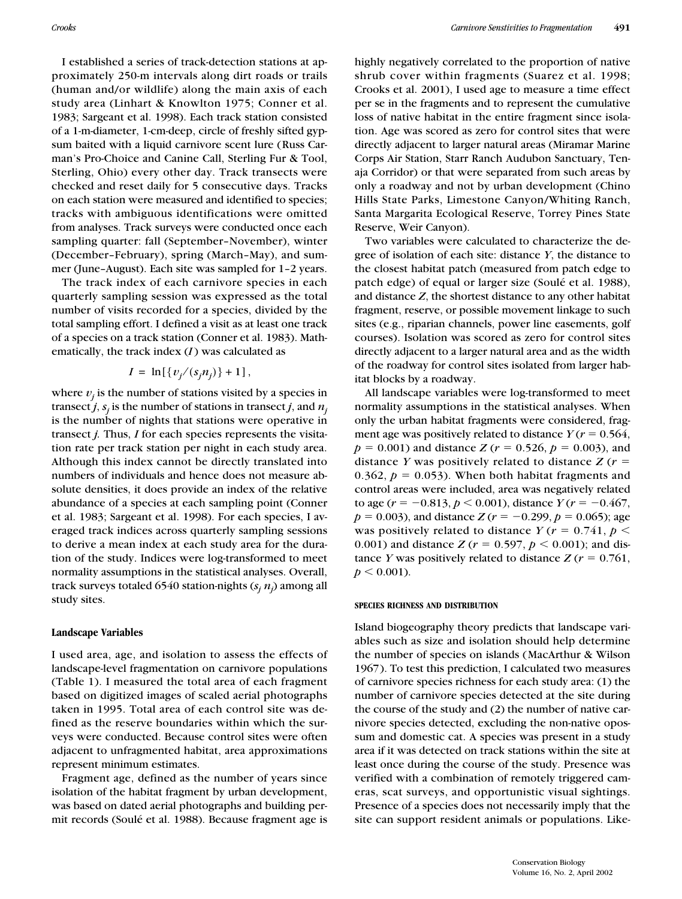I established a series of track-detection stations at approximately 250-m intervals along dirt roads or trails (human and/or wildlife) along the main axis of each study area (Linhart & Knowlton 1975; Conner et al. 1983; Sargeant et al. 1998). Each track station consisted of a 1-m-diameter, 1-cm-deep, circle of freshly sifted gypsum baited with a liquid carnivore scent lure (Russ Carman's Pro-Choice and Canine Call, Sterling Fur & Tool, Sterling, Ohio) every other day. Track transects were checked and reset daily for 5 consecutive days. Tracks on each station were measured and identified to species; tracks with ambiguous identifications were omitted from analyses. Track surveys were conducted once each sampling quarter: fall (September–November), winter (December–February), spring (March–May), and summer (June–August). Each site was sampled for 1–2 years.

The track index of each carnivore species in each quarterly sampling session was expressed as the total number of visits recorded for a species, divided by the total sampling effort. I defined a visit as at least one track of a species on a track station (Conner et al. 1983). Mathematically, the track index (*I*) was calculated as

$$
I = \ln[\{v_j/(s_j n_j)\} + 1],
$$

where  $v_j$  is the number of stations visited by a species in transect *j*,  $s_j$  is the number of stations in transect *j*, and  $n_j$ is the number of nights that stations were operative in transect *j.* Thus, *I* for each species represents the visitation rate per track station per night in each study area. Although this index cannot be directly translated into numbers of individuals and hence does not measure absolute densities, it does provide an index of the relative abundance of a species at each sampling point (Conner et al. 1983; Sargeant et al. 1998). For each species, I averaged track indices across quarterly sampling sessions to derive a mean index at each study area for the duration of the study. Indices were log-transformed to meet normality assumptions in the statistical analyses. Overall, track surveys totaled 6540 station-nights (*sj nj* ) among all study sites.

## **Landscape Variables**

I used area, age, and isolation to assess the effects of landscape-level fragmentation on carnivore populations (Table 1). I measured the total area of each fragment based on digitized images of scaled aerial photographs taken in 1995. Total area of each control site was defined as the reserve boundaries within which the surveys were conducted. Because control sites were often adjacent to unfragmented habitat, area approximations represent minimum estimates.

Fragment age, defined as the number of years since isolation of the habitat fragment by urban development, was based on dated aerial photographs and building permit records (Soulé et al. 1988). Because fragment age is highly negatively correlated to the proportion of native shrub cover within fragments (Suarez et al. 1998; Crooks et al. 2001), I used age to measure a time effect per se in the fragments and to represent the cumulative loss of native habitat in the entire fragment since isolation. Age was scored as zero for control sites that were directly adjacent to larger natural areas (Miramar Marine Corps Air Station, Starr Ranch Audubon Sanctuary, Tenaja Corridor) or that were separated from such areas by only a roadway and not by urban development (Chino Hills State Parks, Limestone Canyon/Whiting Ranch, Santa Margarita Ecological Reserve, Torrey Pines State Reserve, Weir Canyon).

Two variables were calculated to characterize the degree of isolation of each site: distance *Y*, the distance to the closest habitat patch (measured from patch edge to patch edge) of equal or larger size (Soulé et al. 1988), and distance *Z*, the shortest distance to any other habitat fragment, reserve, or possible movement linkage to such sites (e.g., riparian channels, power line easements, golf courses). Isolation was scored as zero for control sites directly adjacent to a larger natural area and as the width of the roadway for control sites isolated from larger habitat blocks by a roadway.

All landscape variables were log-transformed to meet normality assumptions in the statistical analyses. When only the urban habitat fragments were considered, fragment age was positively related to distance  $Y(r = 0.564,$  $p = 0.001$ ) and distance *Z* ( $r = 0.526$ ,  $p = 0.003$ ), and distance *Y* was positively related to distance  $Z(r =$  $0.362, p = 0.053$ ). When both habitat fragments and control areas were included, area was negatively related to age  $(r = -0.813, p \le 0.001)$ , distance  $Y(r = -0.467,$  $p = 0.003$ ), and distance *Z* ( $r = -0.299$ ,  $p = 0.065$ ); age was positively related to distance  $Y(r = 0.741, p <$ 0.001) and distance *Z* ( $r = 0.597$ ,  $p < 0.001$ ); and distance *Y* was positively related to distance *Z* ( $r = 0.761$ ,  $p < 0.001$ ).

### **SPECIES RICHNESS AND DISTRIBUTION**

Island biogeography theory predicts that landscape variables such as size and isolation should help determine the number of species on islands (MacArthur & Wilson 1967). To test this prediction, I calculated two measures of carnivore species richness for each study area: (1) the number of carnivore species detected at the site during the course of the study and (2) the number of native carnivore species detected, excluding the non-native opossum and domestic cat. A species was present in a study area if it was detected on track stations within the site at least once during the course of the study. Presence was verified with a combination of remotely triggered cameras, scat surveys, and opportunistic visual sightings. Presence of a species does not necessarily imply that the site can support resident animals or populations. Like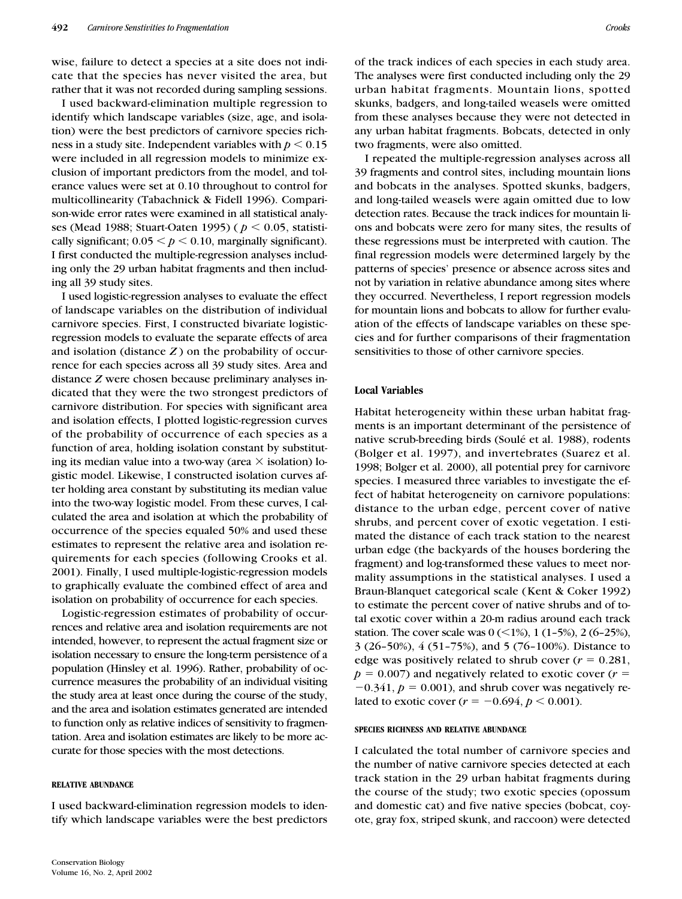wise, failure to detect a species at a site does not indicate that the species has never visited the area, but rather that it was not recorded during sampling sessions.

I used backward-elimination multiple regression to identify which landscape variables (size, age, and isolation) were the best predictors of carnivore species richness in a study site. Independent variables with  $p < 0.15$ were included in all regression models to minimize exclusion of important predictors from the model, and tolerance values were set at 0.10 throughout to control for multicollinearity (Tabachnick & Fidell 1996). Comparison-wide error rates were examined in all statistical analyses (Mead 1988; Stuart-Oaten 1995) ( $p < 0.05$ , statistically significant;  $0.05 < p < 0.10$ , marginally significant). I first conducted the multiple-regression analyses including only the 29 urban habitat fragments and then including all 39 study sites.

I used logistic-regression analyses to evaluate the effect of landscape variables on the distribution of individual carnivore species. First, I constructed bivariate logisticregression models to evaluate the separate effects of area and isolation (distance *Z* ) on the probability of occurrence for each species across all 39 study sites. Area and distance *Z* were chosen because preliminary analyses indicated that they were the two strongest predictors of carnivore distribution. For species with significant area and isolation effects, I plotted logistic-regression curves of the probability of occurrence of each species as a function of area, holding isolation constant by substituting its median value into a two-way (area  $\times$  isolation) logistic model. Likewise, I constructed isolation curves after holding area constant by substituting its median value into the two-way logistic model. From these curves, I calculated the area and isolation at which the probability of occurrence of the species equaled 50% and used these estimates to represent the relative area and isolation requirements for each species (following Crooks et al. 2001). Finally, I used multiple-logistic-regression models to graphically evaluate the combined effect of area and isolation on probability of occurrence for each species.

Logistic-regression estimates of probability of occurrences and relative area and isolation requirements are not intended, however, to represent the actual fragment size or isolation necessary to ensure the long-term persistence of a population (Hinsley et al. 1996). Rather, probability of occurrence measures the probability of an individual visiting the study area at least once during the course of the study, and the area and isolation estimates generated are intended to function only as relative indices of sensitivity to fragmentation. Area and isolation estimates are likely to be more accurate for those species with the most detections.

### **RELATIVE ABUNDANCE**

I used backward-elimination regression models to identify which landscape variables were the best predictors of the track indices of each species in each study area. The analyses were first conducted including only the 29 urban habitat fragments. Mountain lions, spotted skunks, badgers, and long-tailed weasels were omitted from these analyses because they were not detected in any urban habitat fragments. Bobcats, detected in only two fragments, were also omitted.

I repeated the multiple-regression analyses across all 39 fragments and control sites, including mountain lions and bobcats in the analyses. Spotted skunks, badgers, and long-tailed weasels were again omitted due to low detection rates. Because the track indices for mountain lions and bobcats were zero for many sites, the results of these regressions must be interpreted with caution. The final regression models were determined largely by the patterns of species' presence or absence across sites and not by variation in relative abundance among sites where they occurred. Nevertheless, I report regression models for mountain lions and bobcats to allow for further evaluation of the effects of landscape variables on these species and for further comparisons of their fragmentation sensitivities to those of other carnivore species.

## **Local Variables**

Habitat heterogeneity within these urban habitat fragments is an important determinant of the persistence of native scrub-breeding birds (Soulé et al. 1988), rodents (Bolger et al. 1997), and invertebrates (Suarez et al. 1998; Bolger et al. 2000), all potential prey for carnivore species. I measured three variables to investigate the effect of habitat heterogeneity on carnivore populations: distance to the urban edge, percent cover of native shrubs, and percent cover of exotic vegetation. I estimated the distance of each track station to the nearest urban edge (the backyards of the houses bordering the fragment) and log-transformed these values to meet normality assumptions in the statistical analyses. I used a Braun-Blanquet categorical scale (Kent & Coker 1992) to estimate the percent cover of native shrubs and of total exotic cover within a 20-m radius around each track station. The cover scale was  $0 \leq 1\%$ , 1 (1-5%), 2 (6-25%), 3 (26–50%), 4 (51–75%), and 5 (76–100%). Distance to edge was positively related to shrub cover  $(r = 0.281,$  $p = 0.007$ ) and negatively related to exotic cover ( $r =$  $-0.341$ ,  $p = 0.001$ ), and shrub cover was negatively related to exotic cover  $(r = -0.694, p < 0.001)$ .

#### **SPECIES RICHNESS AND RELATIVE ABUNDANCE**

I calculated the total number of carnivore species and the number of native carnivore species detected at each track station in the 29 urban habitat fragments during the course of the study; two exotic species (opossum and domestic cat) and five native species (bobcat, coyote, gray fox, striped skunk, and raccoon) were detected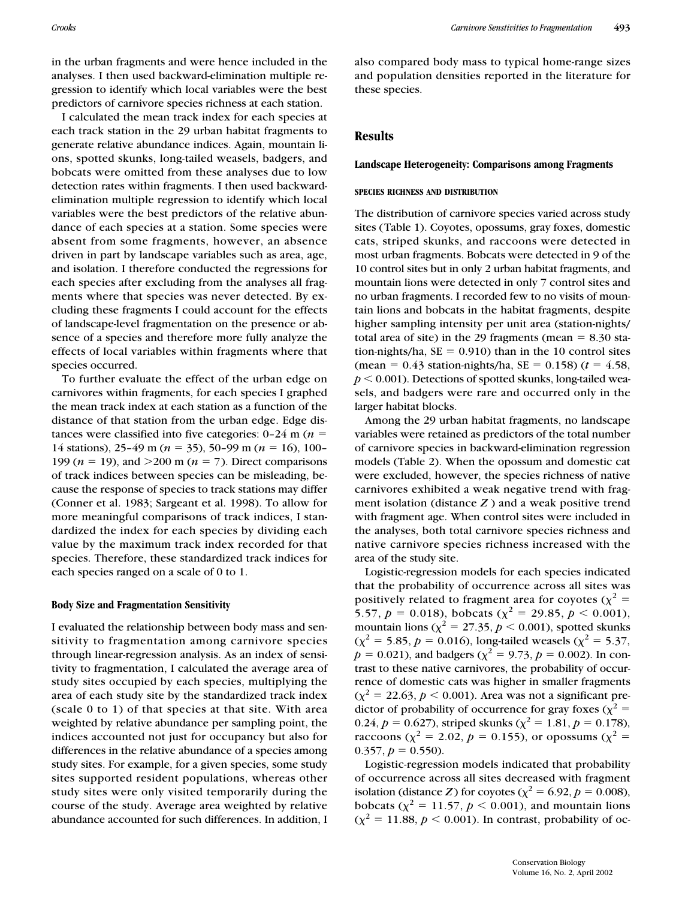in the urban fragments and were hence included in the analyses. I then used backward-elimination multiple regression to identify which local variables were the best predictors of carnivore species richness at each station.

I calculated the mean track index for each species at each track station in the 29 urban habitat fragments to generate relative abundance indices. Again, mountain lions, spotted skunks, long-tailed weasels, badgers, and bobcats were omitted from these analyses due to low detection rates within fragments. I then used backwardelimination multiple regression to identify which local variables were the best predictors of the relative abundance of each species at a station. Some species were absent from some fragments, however, an absence driven in part by landscape variables such as area, age, and isolation. I therefore conducted the regressions for each species after excluding from the analyses all fragments where that species was never detected. By excluding these fragments I could account for the effects of landscape-level fragmentation on the presence or absence of a species and therefore more fully analyze the effects of local variables within fragments where that species occurred.

To further evaluate the effect of the urban edge on carnivores within fragments, for each species I graphed the mean track index at each station as a function of the distance of that station from the urban edge. Edge distances were classified into five categories:  $0-24$  m ( $n =$ 14 stations), 25-49 m ( $n = 35$ ), 50-99 m ( $n = 16$ ), 100-199 ( $n = 19$ ), and  $>200$  m ( $n = 7$ ). Direct comparisons of track indices between species can be misleading, because the response of species to track stations may differ (Conner et al. 1983; Sargeant et al. 1998). To allow for more meaningful comparisons of track indices, I standardized the index for each species by dividing each value by the maximum track index recorded for that species. Therefore, these standardized track indices for each species ranged on a scale of 0 to 1.

## **Body Size and Fragmentation Sensitivity**

I evaluated the relationship between body mass and sensitivity to fragmentation among carnivore species through linear-regression analysis. As an index of sensitivity to fragmentation, I calculated the average area of study sites occupied by each species, multiplying the area of each study site by the standardized track index (scale 0 to 1) of that species at that site. With area weighted by relative abundance per sampling point, the indices accounted not just for occupancy but also for differences in the relative abundance of a species among study sites. For example, for a given species, some study sites supported resident populations, whereas other study sites were only visited temporarily during the course of the study. Average area weighted by relative abundance accounted for such differences. In addition, I

also compared body mass to typical home-range sizes and population densities reported in the literature for these species.

## **Results**

## **Landscape Heterogeneity: Comparisons among Fragments**

### **SPECIES RICHNESS AND DISTRIBUTION**

The distribution of carnivore species varied across study sites (Table 1). Coyotes, opossums, gray foxes, domestic cats, striped skunks, and raccoons were detected in most urban fragments. Bobcats were detected in 9 of the 10 control sites but in only 2 urban habitat fragments, and mountain lions were detected in only 7 control sites and no urban fragments. I recorded few to no visits of mountain lions and bobcats in the habitat fragments, despite higher sampling intensity per unit area (station-nights/ total area of site) in the 29 fragments (mean  $= 8.30$  station-nights/ha,  $SE = 0.910$ ) than in the 10 control sites  $(\text{mean} = 0.43 \text{ station-nights/ha}, \text{SE} = 0.158)$  (*t* = 4.58,  $p < 0.001$ ). Detections of spotted skunks, long-tailed weasels, and badgers were rare and occurred only in the larger habitat blocks.

Among the 29 urban habitat fragments, no landscape variables were retained as predictors of the total number of carnivore species in backward-elimination regression models (Table 2). When the opossum and domestic cat were excluded, however, the species richness of native carnivores exhibited a weak negative trend with fragment isolation (distance *Z* ) and a weak positive trend with fragment age. When control sites were included in the analyses, both total carnivore species richness and native carnivore species richness increased with the area of the study site.

Logistic-regression models for each species indicated that the probability of occurrence across all sites was positively related to fragment area for coyotes ( $\chi^2$  = 5.57,  $p = 0.018$ ), bobcats ( $\chi^2 = 29.85$ ,  $p < 0.001$ ), mountain lions ( $\chi^2 = 27.35, p < 0.001$ ), spotted skunks  $(\chi^2 = 5.85, p = 0.016)$ , long-tailed weasels  $(\chi^2 = 5.37,$  $p = 0.021$ ), and badgers ( $\chi^2 = 9.73$ ,  $p = 0.002$ ). In contrast to these native carnivores, the probability of occurrence of domestic cats was higher in smaller fragments  $(\chi^2 = 22.63, p < 0.001)$ . Area was not a significant predictor of probability of occurrence for gray foxes ( $\chi^2$  = 0.24,  $p = 0.627$ ), striped skunks ( $\chi^2 = 1.81$ ,  $p = 0.178$ ), raccoons ( $\chi^2 = 2.02$ ,  $p = 0.155$ ), or opossums ( $\chi^2 =$  $0.357, p = 0.550$ ).

Logistic-regression models indicated that probability of occurrence across all sites decreased with fragment isolation (distance *Z*) for coyotes ( $\chi^2 = 6.92, p = 0.008$ ), bobcats ( $\chi^2 = 11.57$ ,  $p < 0.001$ ), and mountain lions  $(\chi^2 = 11.88, p \le 0.001)$ . In contrast, probability of oc-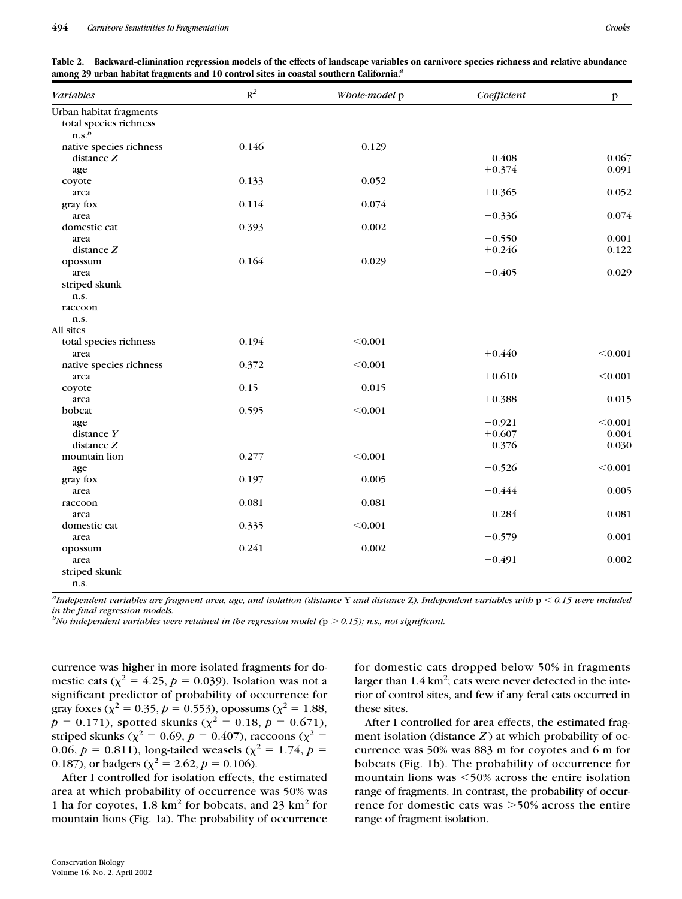| <b>Variables</b>        | $\mathbf{R}^2$ | Whole-model p | Coefficient | $\, {\bf p}$ |
|-------------------------|----------------|---------------|-------------|--------------|
| Urban habitat fragments |                |               |             |              |
| total species richness  |                |               |             |              |
| $n.s.\overline{b}$      |                |               |             |              |
| native species richness | 0.146          | 0.129         |             |              |
| distance $Z$            |                |               | $-0.408$    | 0.067        |
| age                     |                |               | $+0.374$    | 0.091        |
| coyote                  | 0.133          | 0.052         |             |              |
| area                    |                |               | $+0.365$    | 0.052        |
| gray fox                | 0.114          | 0.074         |             |              |
| area                    |                |               | $-0.336$    | 0.074        |
| domestic cat            | 0.393          | 0.002         |             |              |
| area                    |                |               | $-0.550$    | 0.001        |
| distance Z              |                |               | $+0.246$    | 0.122        |
| opossum                 | 0.164          | 0.029         |             |              |
| area                    |                |               | $-0.405$    | 0.029        |
| striped skunk           |                |               |             |              |
| n.s.                    |                |               |             |              |
| raccoon                 |                |               |             |              |
| n.s.                    |                |               |             |              |
| All sites               |                |               |             |              |
| total species richness  | 0.194          | < 0.001       |             |              |
| area                    |                |               | $+0.440$    | < 0.001      |
| native species richness | 0.372          | < 0.001       |             |              |
| area                    |                |               | $+0.610$    | < 0.001      |
| coyote                  | 0.15           | 0.015         |             |              |
| area                    |                |               | $+0.388$    | 0.015        |
| bobcat                  | 0.595          | < 0.001       |             |              |
| age                     |                |               | $-0.921$    | < 0.001      |
| distance $Y$            |                |               | $+0.607$    | 0.004        |
| distance Z              |                |               | $-0.376$    | 0.030        |
| mountain lion           | 0.277          | < 0.001       |             |              |
| age                     |                |               | $-0.526$    | < 0.001      |
| gray fox                | 0.197          | 0.005         |             |              |
| area                    |                |               | $-0.444$    | 0.005        |
| raccoon                 | 0.081          | 0.081         |             |              |
| area                    |                |               | $-0.284$    | 0.081        |
| domestic cat            | 0.335          | < 0.001       |             |              |
| area                    |                |               | $-0.579$    | 0.001        |
| opossum                 | 0.241          | 0.002         |             |              |
| area                    |                |               | $-0.491$    | 0.002        |
| striped skunk           |                |               |             |              |
| n.s.                    |                |               |             |              |

**Table 2. Backward-elimination regression models of the effects of landscape variables on carnivore species richness and relative abundance among 29 urban habitat fragments and 10 control sites in coastal southern California.***<sup>a</sup>*

*aIndependent variables are fragment area, age, and isolation (distance* Y *and distance* Z*). Independent variables with* p  *0.15 were included in the final regression models.*

 $b^b$ No independent variables were retained in the regression model ( $p > 0.15$ ); n.s., not significant.

currence was higher in more isolated fragments for domestic cats ( $\chi^2 = 4.25$ ,  $p = 0.039$ ). Isolation was not a significant predictor of probability of occurrence for gray foxes ( $\chi^2 = 0.35$ ,  $p = 0.553$ ), opossums ( $\chi^2 = 1.88$ ,  $p = 0.171$ ), spotted skunks ( $\chi^2 = 0.18$ ,  $p = 0.671$ ), striped skunks ( $\chi^2 = 0.69$ ,  $p = 0.407$ ), raccoons ( $\chi^2 = 0.06$ ,  $p = 0.811$ ), long-tailed weasels ( $\chi^2 = 1.74$ ,  $p = 0.187$ ), or badgers ( $\chi^2 = 2.62$ ,  $p = 0.106$ ).

After I controlled for isolation effects, the estimated area at which probability of occurrence was 50% was 1 ha for coyotes,  $1.8 \text{ km}^2$  for bobcats, and  $23 \text{ km}^2$  for mountain lions (Fig. 1a). The probability of occurrence

Conservation Biology Volume 16, No. 2, April 2002 for domestic cats dropped below 50% in fragments larger than  $1.4\ {\rm km}^2;$  cats were never detected in the interior of control sites, and few if any feral cats occurred in these sites.

After I controlled for area effects, the estimated fragment isolation (distance *Z* ) at which probability of occurrence was 50% was 883 m for coyotes and 6 m for bobcats (Fig. 1b). The probability of occurrence for mountain lions was  $\leq 50\%$  across the entire isolation range of fragments. In contrast, the probability of occurrence for domestic cats was  $>50\%$  across the entire range of fragment isolation.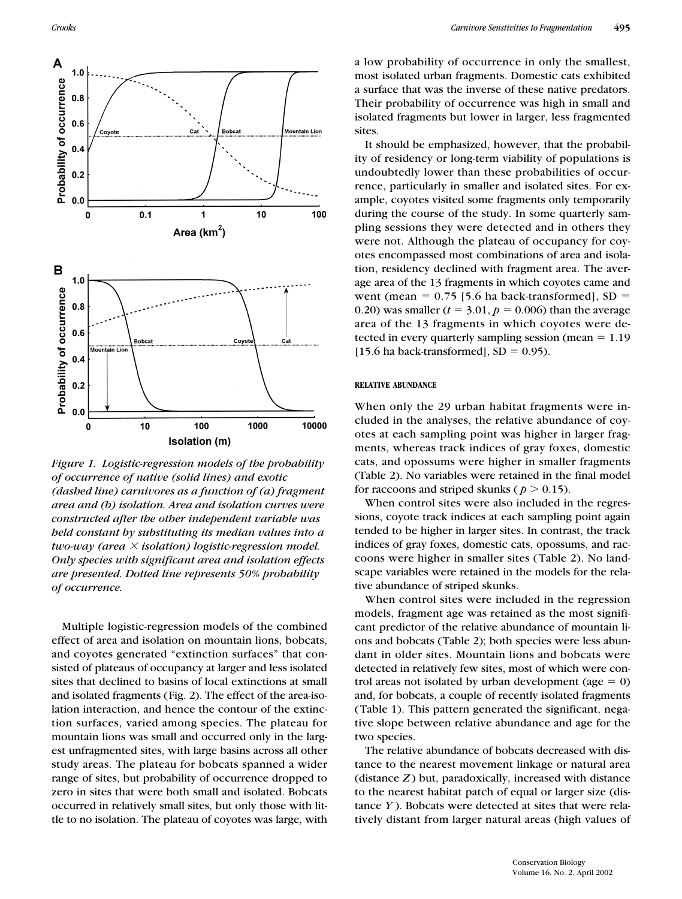

*Figure 1. Logistic-regression models of the probability of occurrence of native (solid lines) and exotic (dashed line) carnivores as a function of (a) fragment area and (b) isolation. Area and isolation curves were constructed after the other independent variable was held constant by substituting its median values into a two-way (area isolation) logistic-regression model. Only species with significant area and isolation effects are presented. Dotted line represents 50% probability of occurrence.*

Multiple logistic-regression models of the combined effect of area and isolation on mountain lions, bobcats, and coyotes generated "extinction surfaces" that consisted of plateaus of occupancy at larger and less isolated sites that declined to basins of local extinctions at small and isolated fragments (Fig. 2). The effect of the area-isolation interaction, and hence the contour of the extinction surfaces, varied among species. The plateau for mountain lions was small and occurred only in the largest unfragmented sites, with large basins across all other study areas. The plateau for bobcats spanned a wider range of sites, but probability of occurrence dropped to zero in sites that were both small and isolated. Bobcats occurred in relatively small sites, but only those with little to no isolation. The plateau of coyotes was large, with

a low probability of occurrence in only the smallest, most isolated urban fragments. Domestic cats exhibited a surface that was the inverse of these native predators. Their probability of occurrence was high in small and isolated fragments but lower in larger, less fragmented sites.

It should be emphasized, however, that the probability of residency or long-term viability of populations is undoubtedly lower than these probabilities of occurrence, particularly in smaller and isolated sites. For example, coyotes visited some fragments only temporarily during the course of the study. In some quarterly sampling sessions they were detected and in others they were not. Although the plateau of occupancy for coyotes encompassed most combinations of area and isolation, residency declined with fragment area. The average area of the 13 fragments in which coyotes came and went (mean =  $0.75$  [5.6 ha back-transformed], SD = 0.20) was smaller  $(t = 3.01, p = 0.006)$  than the average area of the 13 fragments in which coyotes were detected in every quarterly sampling session (mean  $= 1.19$ [15.6 ha back-transformed],  $SD = 0.95$ ).

#### **RELATIVE ABUNDANCE**

When only the 29 urban habitat fragments were included in the analyses, the relative abundance of coyotes at each sampling point was higher in larger fragments, whereas track indices of gray foxes, domestic cats, and opossums were higher in smaller fragments (Table 2). No variables were retained in the final model for raccoons and striped skunks ( $p > 0.15$ ).

When control sites were also included in the regressions, coyote track indices at each sampling point again tended to be higher in larger sites. In contrast, the track indices of gray foxes, domestic cats, opossums, and raccoons were higher in smaller sites (Table 2). No landscape variables were retained in the models for the relative abundance of striped skunks.

When control sites were included in the regression models, fragment age was retained as the most significant predictor of the relative abundance of mountain lions and bobcats (Table 2); both species were less abundant in older sites. Mountain lions and bobcats were detected in relatively few sites, most of which were control areas not isolated by urban development (age  $= 0$ ) and, for bobcats, a couple of recently isolated fragments (Table 1). This pattern generated the significant, negative slope between relative abundance and age for the two species.

The relative abundance of bobcats decreased with distance to the nearest movement linkage or natural area (distance *Z* ) but, paradoxically, increased with distance to the nearest habitat patch of equal or larger size (distance *Y* ). Bobcats were detected at sites that were relatively distant from larger natural areas (high values of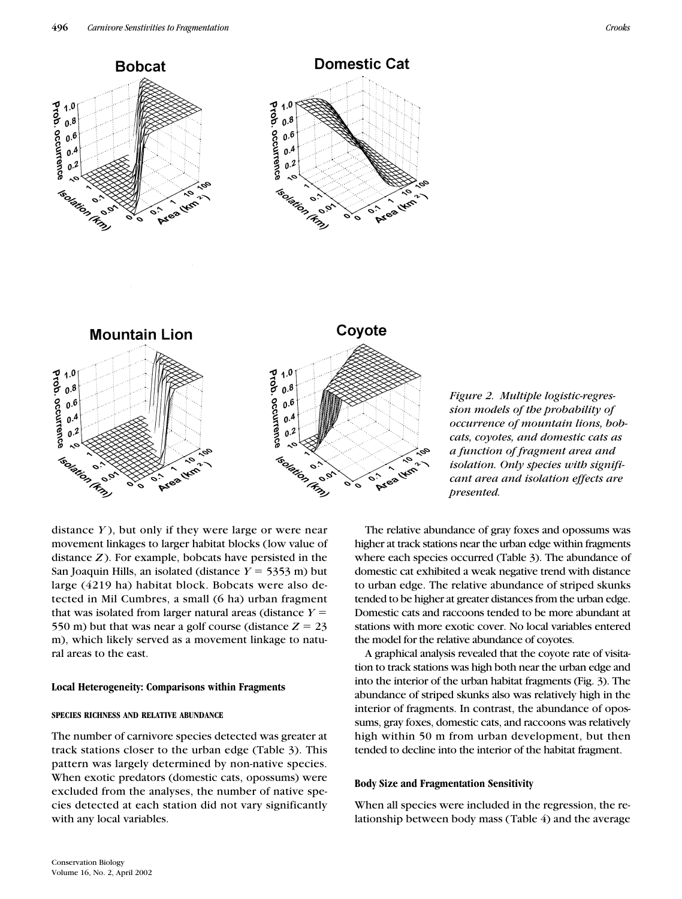

*Figure 2. Multiple logistic-regression models of the probability of occurrence of mountain lions, bobcats, coyotes, and domestic cats as a function of fragment area and isolation. Only species with significant area and isolation effects are presented.*

distance *Y* ), but only if they were large or were near movement linkages to larger habitat blocks (low value of distance *Z* ). For example, bobcats have persisted in the San Joaquin Hills, an isolated (distance  $Y = 5353$  m) but large (4219 ha) habitat block. Bobcats were also detected in Mil Cumbres, a small (6 ha) urban fragment that was isolated from larger natural areas (distance  $Y =$ 550 m) but that was near a golf course (distance  $Z = 23$ m), which likely served as a movement linkage to natural areas to the east.

## **Local Heterogeneity: Comparisons within Fragments**

### **SPECIES RICHNESS AND RELATIVE ABUNDANCE**

The number of carnivore species detected was greater at track stations closer to the urban edge (Table 3). This pattern was largely determined by non-native species. When exotic predators (domestic cats, opossums) were excluded from the analyses, the number of native species detected at each station did not vary significantly with any local variables.

The relative abundance of gray foxes and opossums was higher at track stations near the urban edge within fragments where each species occurred (Table 3). The abundance of domestic cat exhibited a weak negative trend with distance to urban edge. The relative abundance of striped skunks tended to be higher at greater distances from the urban edge. Domestic cats and raccoons tended to be more abundant at stations with more exotic cover. No local variables entered the model for the relative abundance of coyotes.

A graphical analysis revealed that the coyote rate of visitation to track stations was high both near the urban edge and into the interior of the urban habitat fragments (Fig. 3). The abundance of striped skunks also was relatively high in the interior of fragments. In contrast, the abundance of opossums, gray foxes, domestic cats, and raccoons was relatively high within 50 m from urban development, but then tended to decline into the interior of the habitat fragment.

## **Body Size and Fragmentation Sensitivity**

When all species were included in the regression, the relationship between body mass (Table 4) and the average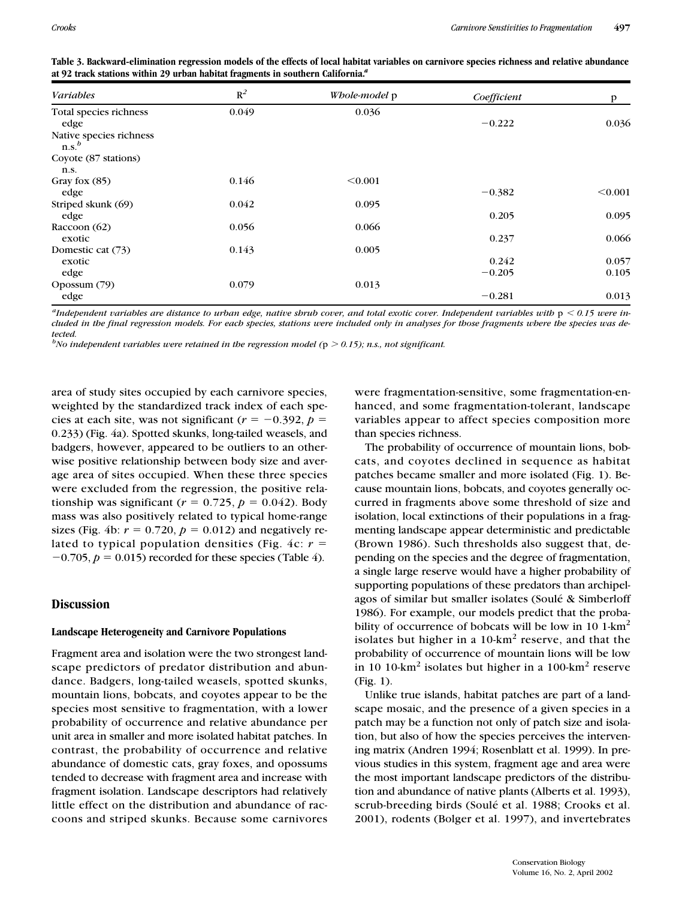| <b>Variables</b>                             | $\mathbb{R}^2$ | Whole-model p | Coefficient | $\mathbf{p}$ |
|----------------------------------------------|----------------|---------------|-------------|--------------|
| Total species richness                       | 0.049          | 0.036         |             |              |
| edge                                         |                |               | $-0.222$    | 0.036        |
| Native species richness<br>n.s. <sup>b</sup> |                |               |             |              |
| Coyote (87 stations)                         |                |               |             |              |
| n.s.<br>Gray fox $(85)$                      | 0.146          | < 0.001       |             |              |
| edge                                         |                |               | $-0.382$    | < 0.001      |
| Striped skunk (69)                           | 0.042          | 0.095         |             |              |
| edge                                         |                |               | 0.205       | 0.095        |
| Raccoon $(62)$                               | 0.056          | 0.066         |             |              |
| exotic                                       |                |               | 0.237       | 0.066        |
| Domestic cat (73)                            | 0.143          | 0.005         |             |              |
| exotic                                       |                |               | 0.242       | 0.057        |
| edge                                         |                |               | $-0.205$    | 0.105        |
| Opossum (79)                                 | 0.079          | 0.013         |             |              |
| edge                                         |                |               | $-0.281$    | 0.013        |

**Table 3. Backward-elimination regression models of the effects of local habitat variables on carnivore species richness and relative abundance at 92 track stations within 29 urban habitat fragments in southern California.***<sup>a</sup>*

<sup>a</sup>Independent variables are distance to urban edge, native sbrub cover, and total exotic cover. Independent variables with  $p < 0.15$  were in*cluded in the final regression models. For each species, stations were included only in analyses for those fragments where the species was detected.*

 $b^b$ No independent variables were retained in the regression model ( $p > 0.15$ ); n.s., not significant.

area of study sites occupied by each carnivore species, weighted by the standardized track index of each species at each site, was not significant  $(r = -0.392, p =$ 0.233) (Fig. 4a). Spotted skunks, long-tailed weasels, and badgers, however, appeared to be outliers to an otherwise positive relationship between body size and average area of sites occupied. When these three species were excluded from the regression, the positive relationship was significant ( $r = 0.725$ ,  $p = 0.042$ ). Body mass was also positively related to typical home-range sizes (Fig.  $4b$ :  $r = 0.720$ ,  $p = 0.012$ ) and negatively related to typical population densities (Fig.  $4c: r =$  $-0.705$ ,  $p = 0.015$ ) recorded for these species (Table 4).

## **Discussion**

## **Landscape Heterogeneity and Carnivore Populations**

Fragment area and isolation were the two strongest landscape predictors of predator distribution and abundance. Badgers, long-tailed weasels, spotted skunks, mountain lions, bobcats, and coyotes appear to be the species most sensitive to fragmentation, with a lower probability of occurrence and relative abundance per unit area in smaller and more isolated habitat patches. In contrast, the probability of occurrence and relative abundance of domestic cats, gray foxes, and opossums tended to decrease with fragment area and increase with fragment isolation. Landscape descriptors had relatively little effect on the distribution and abundance of raccoons and striped skunks. Because some carnivores were fragmentation-sensitive, some fragmentation-enhanced, and some fragmentation-tolerant, landscape variables appear to affect species composition more than species richness.

The probability of occurrence of mountain lions, bobcats, and coyotes declined in sequence as habitat patches became smaller and more isolated (Fig. 1). Because mountain lions, bobcats, and coyotes generally occurred in fragments above some threshold of size and isolation, local extinctions of their populations in a fragmenting landscape appear deterministic and predictable (Brown 1986). Such thresholds also suggest that, depending on the species and the degree of fragmentation, a single large reserve would have a higher probability of supporting populations of these predators than archipelagos of similar but smaller isolates (Soulé & Simberloff 1986). For example, our models predict that the probability of occurrence of bobcats will be low in 10  $1 \cdot \text{km}^2$ isolates but higher in a  $10 \text{-} \text{km}^2$  reserve, and that the probability of occurrence of mountain lions will be low in 10 10-km $^2$  isolates but higher in a 100-km $^2$  reserve (Fig. 1).

Unlike true islands, habitat patches are part of a landscape mosaic, and the presence of a given species in a patch may be a function not only of patch size and isolation, but also of how the species perceives the intervening matrix (Andren 1994; Rosenblatt et al. 1999). In previous studies in this system, fragment age and area were the most important landscape predictors of the distribution and abundance of native plants (Alberts et al. 1993), scrub-breeding birds (Soulé et al. 1988; Crooks et al. 2001), rodents (Bolger et al. 1997), and invertebrates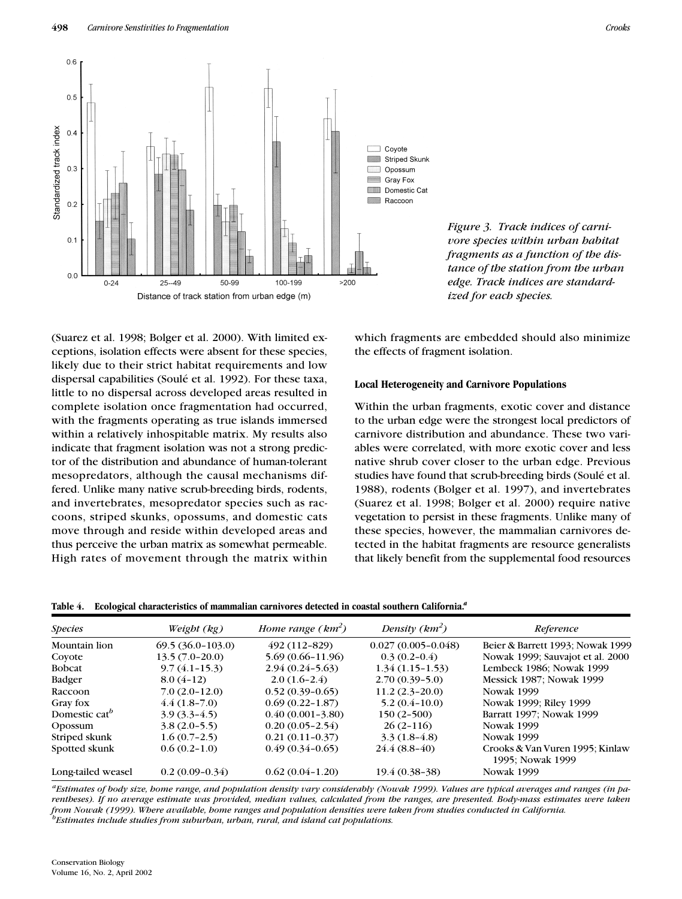



(Suarez et al. 1998; Bolger et al. 2000). With limited exceptions, isolation effects were absent for these species, likely due to their strict habitat requirements and low dispersal capabilities (Soulé et al. 1992). For these taxa, little to no dispersal across developed areas resulted in complete isolation once fragmentation had occurred, with the fragments operating as true islands immersed within a relatively inhospitable matrix. My results also indicate that fragment isolation was not a strong predictor of the distribution and abundance of human-tolerant mesopredators, although the causal mechanisms differed. Unlike many native scrub-breeding birds, rodents, and invertebrates, mesopredator species such as raccoons, striped skunks, opossums, and domestic cats move through and reside within developed areas and thus perceive the urban matrix as somewhat permeable. High rates of movement through the matrix within

which fragments are embedded should also minimize the effects of fragment isolation.

## **Local Heterogeneity and Carnivore Populations**

Within the urban fragments, exotic cover and distance to the urban edge were the strongest local predictors of carnivore distribution and abundance. These two variables were correlated, with more exotic cover and less native shrub cover closer to the urban edge. Previous studies have found that scrub-breeding birds (Soulé et al. 1988), rodents (Bolger et al. 1997), and invertebrates (Suarez et al. 1998; Bolger et al. 2000) require native vegetation to persist in these fragments. Unlike many of these species, however, the mammalian carnivores detected in the habitat fragments are resource generalists that likely benefit from the supplemental food resources

| Table 4. Ecological characteristics of mammalian carnivores detected in coastal southern California. <sup>4</sup> |  |  |  |
|-------------------------------------------------------------------------------------------------------------------|--|--|--|
|                                                                                                                   |  |  |  |

| <b>Species</b>            | Weight (kg)        | Home range $(km^2)$  | Density $(km^2)$       | Reference                                           |
|---------------------------|--------------------|----------------------|------------------------|-----------------------------------------------------|
| Mountain lion             | $69.5(36.0-103.0)$ | 492 (112-829)        | $0.027(0.005 - 0.048)$ | Beier & Barrett 1993; Nowak 1999                    |
| Covote                    | $13.5(7.0-20.0)$   | $5.69(0.66 - 11.96)$ | $0.3(0.2-0.4)$         | Nowak 1999; Sauvajot et al. 2000                    |
| <b>Bobcat</b>             | $9.7(4.1-15.3)$    | $2.94(0.24 - 5.63)$  | $1.34(1.15-1.53)$      | Lembeck 1986; Nowak 1999                            |
| Badger                    | $8.0(4-12)$        | $2.0(1.6-2.4)$       | $2.70(0.39-5.0)$       | <b>Messick 1987: Nowak 1999</b>                     |
| Raccoon                   | $7.0(2.0-12.0)$    | $0.52(0.39-0.65)$    | $11.2(2.3-20.0)$       | <b>Nowak 1999</b>                                   |
| Gray fox                  | $4.4(1.8-7.0)$     | $0.69(0.22 - 1.87)$  | $5.2(0.4-10.0)$        | Nowak 1999; Riley 1999                              |
| Domestic cat <sup>b</sup> | $3.9(3.3-4.5)$     | $0.40(0.001 - 3.80)$ | 150 (2-500)            | Barratt 1997; Nowak 1999                            |
| Opossum                   | $3.8(2.0-5.5)$     | $0.20(0.05-2.54)$    | $26(2-116)$            | <b>Nowak 1999</b>                                   |
| Striped skunk             | $1.6(0.7-2.5)$     | $0.21(0.11-0.37)$    | $3.3(1.8-4.8)$         | <b>Nowak 1999</b>                                   |
| Spotted skunk             | $0.6(0.2-1.0)$     | $0.49(0.34 - 0.65)$  | $24.4(8.8-40)$         | Crooks & Van Vuren 1995; Kinlaw<br>1995; Nowak 1999 |
| Long-tailed weasel        | $0.2(0.09-0.34)$   | $0.62(0.04-1.20)$    | 19.4 (0.38-38)         | <b>Nowak 1999</b>                                   |

*aEstimates of body size, home range, and population density vary considerably (Nowak 1999). Values are typical averages and ranges (in parentheses). If no average estimate was provided, median values, calculated from the ranges, are presented. Body-mass estimates were taken* from Nowak (1999). Where available, home ranges and population densities were taken from studies conducted in California.<br><sup>b</sup>Estimates include studies from suburban, urban, rural, and island cat populations.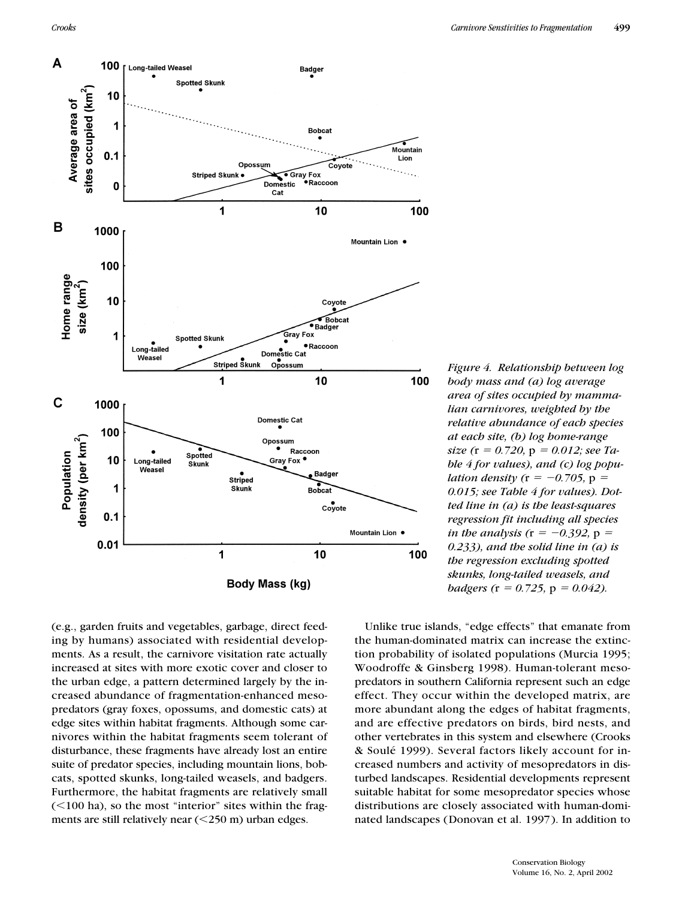

*Figure 4. Relationship between log body mass and (a) log average area of sites occupied by mammalian carnivores, weighted by the relative abundance of each species at each site, (b) log home-range size* (**r** = 0.720, **p** = 0.012; see Ta*ble 4 for values), and (c) log population density* ( $r = -0.705$ ,  $p =$ *0.015; see Table 4 for values). Dotted line in (a) is the least-squares regression fit including all species in the analysis* ( $r = -0.392$ ,  $p =$ *0.233), and the solid line in (a) is the regression excluding spotted skunks, long-tailed weasels, and badgers* ( $r = 0.725$ ,  $p = 0.042$ ).

(e.g., garden fruits and vegetables, garbage, direct feeding by humans) associated with residential developments. As a result, the carnivore visitation rate actually increased at sites with more exotic cover and closer to the urban edge, a pattern determined largely by the increased abundance of fragmentation-enhanced mesopredators (gray foxes, opossums, and domestic cats) at edge sites within habitat fragments. Although some carnivores within the habitat fragments seem tolerant of disturbance, these fragments have already lost an entire suite of predator species, including mountain lions, bobcats, spotted skunks, long-tailed weasels, and badgers. Furthermore, the habitat fragments are relatively small  $(<$ 100 ha), so the most "interior" sites within the fragments are still relatively near  $(<250 \text{ m})$  urban edges.

Unlike true islands, "edge effects" that emanate from the human-dominated matrix can increase the extinction probability of isolated populations (Murcia 1995; Woodroffe & Ginsberg 1998). Human-tolerant mesopredators in southern California represent such an edge effect. They occur within the developed matrix, are more abundant along the edges of habitat fragments, and are effective predators on birds, bird nests, and other vertebrates in this system and elsewhere (Crooks & Soulé 1999). Several factors likely account for increased numbers and activity of mesopredators in disturbed landscapes. Residential developments represent suitable habitat for some mesopredator species whose distributions are closely associated with human-dominated landscapes (Donovan et al. 1997). In addition to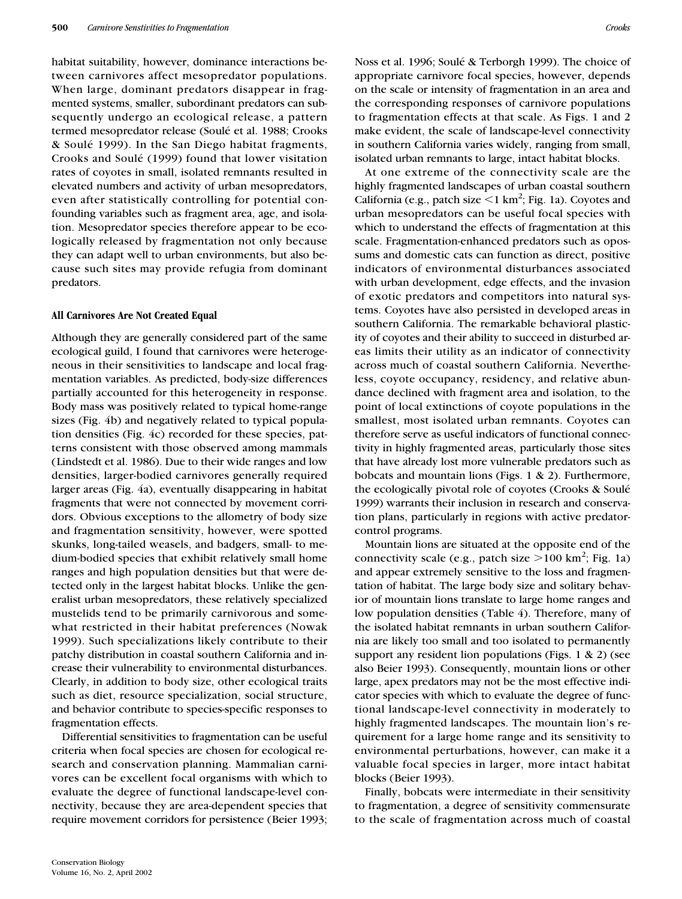habitat suitability, however, dominance interactions between carnivores affect mesopredator populations. When large, dominant predators disappear in fragmented systems, smaller, subordinant predators can subsequently undergo an ecological release, a pattern termed mesopredator release (Soulé et al. 1988; Crooks & Soulé 1999). In the San Diego habitat fragments, Crooks and Soulé (1999) found that lower visitation rates of coyotes in small, isolated remnants resulted in elevated numbers and activity of urban mesopredators, even after statistically controlling for potential confounding variables such as fragment area, age, and isolation. Mesopredator species therefore appear to be ecologically released by fragmentation not only because they can adapt well to urban environments, but also because such sites may provide refugia from dominant predators.

## **All Carnivores Are Not Created Equal**

Although they are generally considered part of the same ecological guild, I found that carnivores were heterogeneous in their sensitivities to landscape and local fragmentation variables. As predicted, body-size differences partially accounted for this heterogeneity in response. Body mass was positively related to typical home-range sizes (Fig. 4b) and negatively related to typical population densities (Fig. 4c) recorded for these species, patterns consistent with those observed among mammals (Lindstedt et al. 1986). Due to their wide ranges and low densities, larger-bodied carnivores generally required larger areas (Fig. 4a), eventually disappearing in habitat fragments that were not connected by movement corridors. Obvious exceptions to the allometry of body size and fragmentation sensitivity, however, were spotted skunks, long-tailed weasels, and badgers, small- to medium-bodied species that exhibit relatively small home ranges and high population densities but that were detected only in the largest habitat blocks. Unlike the generalist urban mesopredators, these relatively specialized mustelids tend to be primarily carnivorous and somewhat restricted in their habitat preferences (Nowak 1999). Such specializations likely contribute to their patchy distribution in coastal southern California and increase their vulnerability to environmental disturbances. Clearly, in addition to body size, other ecological traits such as diet, resource specialization, social structure, and behavior contribute to species-specific responses to fragmentation effects.

Differential sensitivities to fragmentation can be useful criteria when focal species are chosen for ecological research and conservation planning. Mammalian carnivores can be excellent focal organisms with which to evaluate the degree of functional landscape-level connectivity, because they are area-dependent species that require movement corridors for persistence (Beier 1993;

Noss et al. 1996; Soulé & Terborgh 1999). The choice of appropriate carnivore focal species, however, depends on the scale or intensity of fragmentation in an area and the corresponding responses of carnivore populations to fragmentation effects at that scale. As Figs. 1 and 2 make evident, the scale of landscape-level connectivity in southern California varies widely, ranging from small, isolated urban remnants to large, intact habitat blocks.

At one extreme of the connectivity scale are the highly fragmented landscapes of urban coastal southern California (e.g., patch size  $\leq$  1 km<sup>2</sup>; Fig. 1a). Coyotes and urban mesopredators can be useful focal species with which to understand the effects of fragmentation at this scale. Fragmentation-enhanced predators such as opossums and domestic cats can function as direct, positive indicators of environmental disturbances associated with urban development, edge effects, and the invasion of exotic predators and competitors into natural systems. Coyotes have also persisted in developed areas in southern California. The remarkable behavioral plasticity of coyotes and their ability to succeed in disturbed areas limits their utility as an indicator of connectivity across much of coastal southern California. Nevertheless, coyote occupancy, residency, and relative abundance declined with fragment area and isolation, to the point of local extinctions of coyote populations in the smallest, most isolated urban remnants. Coyotes can therefore serve as useful indicators of functional connectivity in highly fragmented areas, particularly those sites that have already lost more vulnerable predators such as bobcats and mountain lions (Figs. 1 & 2). Furthermore, the ecologically pivotal role of coyotes (Crooks & Soulé 1999) warrants their inclusion in research and conservation plans, particularly in regions with active predatorcontrol programs.

Mountain lions are situated at the opposite end of the connectivity scale (e.g., patch size  $>$ 100 km<sup>2</sup>; Fig. 1a) and appear extremely sensitive to the loss and fragmentation of habitat. The large body size and solitary behavior of mountain lions translate to large home ranges and low population densities (Table 4). Therefore, many of the isolated habitat remnants in urban southern California are likely too small and too isolated to permanently support any resident lion populations (Figs. 1 & 2) (see also Beier 1993). Consequently, mountain lions or other large, apex predators may not be the most effective indicator species with which to evaluate the degree of functional landscape-level connectivity in moderately to highly fragmented landscapes. The mountain lion's requirement for a large home range and its sensitivity to environmental perturbations, however, can make it a valuable focal species in larger, more intact habitat blocks (Beier 1993).

Finally, bobcats were intermediate in their sensitivity to fragmentation, a degree of sensitivity commensurate to the scale of fragmentation across much of coastal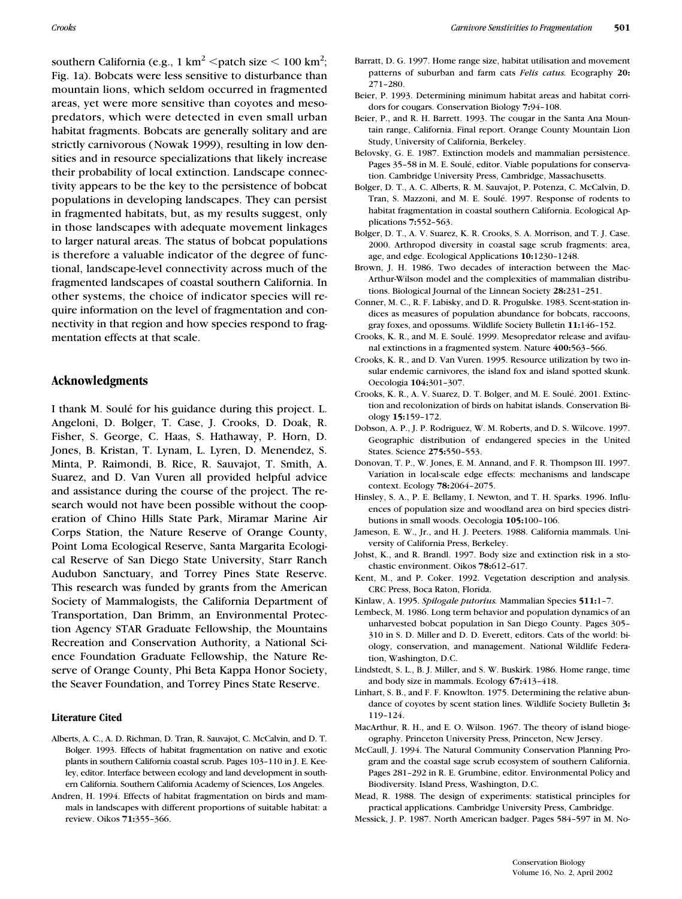southern California (e.g., 1 km<sup>2</sup>  $\rm{2-}$  patch size  $\rm{2-}100$  km<sup>2</sup>; Fig. 1a). Bobcats were less sensitive to disturbance than mountain lions, which seldom occurred in fragmented areas, yet were more sensitive than coyotes and mesopredators, which were detected in even small urban habitat fragments. Bobcats are generally solitary and are strictly carnivorous (Nowak 1999), resulting in low densities and in resource specializations that likely increase their probability of local extinction. Landscape connectivity appears to be the key to the persistence of bobcat populations in developing landscapes. They can persist in fragmented habitats, but, as my results suggest, only in those landscapes with adequate movement linkages to larger natural areas. The status of bobcat populations is therefore a valuable indicator of the degree of functional, landscape-level connectivity across much of the fragmented landscapes of coastal southern California. In other systems, the choice of indicator species will require information on the level of fragmentation and connectivity in that region and how species respond to fragmentation effects at that scale.

## **Acknowledgments**

I thank M. Soulé for his guidance during this project. L. Angeloni, D. Bolger, T. Case, J. Crooks, D. Doak, R. Fisher, S. George, C. Haas, S. Hathaway, P. Horn, D. Jones, B. Kristan, T. Lynam, L. Lyren, D. Menendez, S. Minta, P. Raimondi, B. Rice, R. Sauvajot, T. Smith, A. Suarez, and D. Van Vuren all provided helpful advice and assistance during the course of the project. The research would not have been possible without the cooperation of Chino Hills State Park, Miramar Marine Air Corps Station, the Nature Reserve of Orange County, Point Loma Ecological Reserve, Santa Margarita Ecological Reserve of San Diego State University, Starr Ranch Audubon Sanctuary, and Torrey Pines State Reserve. This research was funded by grants from the American Society of Mammalogists, the California Department of Transportation, Dan Brimm, an Environmental Protection Agency STAR Graduate Fellowship, the Mountains Recreation and Conservation Authority, a National Science Foundation Graduate Fellowship, the Nature Reserve of Orange County, Phi Beta Kappa Honor Society, the Seaver Foundation, and Torrey Pines State Reserve.

### **Literature Cited**

- Alberts, A. C., A. D. Richman, D. Tran, R. Sauvajot, C. McCalvin, and D. T. Bolger. 1993. Effects of habitat fragmentation on native and exotic plants in southern California coastal scrub. Pages 103–110 in J. E. Keeley, editor. Interface between ecology and land development in southern California. Southern California Academy of Sciences, Los Angeles.
- Andren, H. 1994. Effects of habitat fragmentation on birds and mammals in landscapes with different proportions of suitable habitat: a review. Oikos **71:**355–366.
- Barratt, D. G. 1997. Home range size, habitat utilisation and movement patterns of suburban and farm cats *Felis catus.* Ecography **20:** 271–280.
- Beier, P. 1993. Determining minimum habitat areas and habitat corridors for cougars. Conservation Biology **7:**94–108.
- Beier, P., and R. H. Barrett. 1993. The cougar in the Santa Ana Mountain range, California. Final report. Orange County Mountain Lion Study, University of California, Berkeley.
- Belovsky, G. E. 1987. Extinction models and mammalian persistence. Pages 35–58 in M. E. Soulé, editor. Viable populations for conservation. Cambridge University Press, Cambridge, Massachusetts.
- Bolger, D. T., A. C. Alberts, R. M. Sauvajot, P. Potenza, C. McCalvin, D. Tran, S. Mazzoni, and M. E. Soulé. 1997. Response of rodents to habitat fragmentation in coastal southern California. Ecological Applications **7:**552–563.
- Bolger, D. T., A. V. Suarez, K. R. Crooks, S. A. Morrison, and T. J. Case. 2000. Arthropod diversity in coastal sage scrub fragments: area, age, and edge. Ecological Applications **10:**1230–1248.
- Brown, J. H. 1986. Two decades of interaction between the Mac-Arthur-Wilson model and the complexities of mammalian distributions. Biological Journal of the Linnean Society **28:**231–251.
- Conner, M. C., R. F. Labisky, and D. R. Progulske. 1983. Scent-station indices as measures of population abundance for bobcats, raccoons, gray foxes, and opossums. Wildlife Society Bulletin **11:**146–152.
- Crooks, K. R., and M. E. Soulé. 1999. Mesopredator release and avifaunal extinctions in a fragmented system. Nature **400:**563–566.
- Crooks, K. R., and D. Van Vuren. 1995. Resource utilization by two insular endemic carnivores, the island fox and island spotted skunk. Oecologia **104:**301–307.
- Crooks, K. R., A. V. Suarez, D. T. Bolger, and M. E. Soulé. 2001. Extinction and recolonization of birds on habitat islands. Conservation Biology **15:**159–172.
- Dobson, A. P., J. P. Rodriguez, W. M. Roberts, and D. S. Wilcove. 1997. Geographic distribution of endangered species in the United States. Science **275:**550–553.
- Donovan, T. P., W. Jones, E. M. Annand, and F. R. Thompson III. 1997. Variation in local-scale edge effects: mechanisms and landscape context. Ecology **78:**2064–2075.
- Hinsley, S. A., P. E. Bellamy, I. Newton, and T. H. Sparks. 1996. Influences of population size and woodland area on bird species distributions in small woods. Oecologia **105:**100–106.
- Jameson, E. W., Jr., and H. J. Peeters. 1988. California mammals. University of California Press, Berkeley.
- Johst, K., and R. Brandl. 1997. Body size and extinction risk in a stochastic environment. Oikos **78:**612–617.
- Kent, M., and P. Coker. 1992. Vegetation description and analysis. CRC Press, Boca Raton, Florida.
- Kinlaw, A. 1995. *Spilogale putorius.* Mammalian Species **511:**1–7.
- Lembeck, M. 1986. Long term behavior and population dynamics of an unharvested bobcat population in San Diego County. Pages 305– 310 in S. D. Miller and D. D. Everett, editors. Cats of the world: biology, conservation, and management. National Wildlife Federation, Washington, D.C.
- Lindstedt, S. L., B. J. Miller, and S. W. Buskirk. 1986. Home range, time and body size in mammals. Ecology **67:**413–418.
- Linhart, S. B., and F. F. Knowlton. 1975. Determining the relative abundance of coyotes by scent station lines. Wildlife Society Bulletin **3:** 119–124.
- MacArthur, R. H., and E. O. Wilson. 1967. The theory of island biogeography. Princeton University Press, Princeton, New Jersey.
- McCaull, J. 1994. The Natural Community Conservation Planning Program and the coastal sage scrub ecosystem of southern California. Pages 281–292 in R. E. Grumbine, editor. Environmental Policy and Biodiversity. Island Press, Washington, D.C.
- Mead, R. 1988. The design of experiments: statistical principles for practical applications. Cambridge University Press, Cambridge.
- Messick, J. P. 1987. North American badger. Pages 584–597 in M. No-